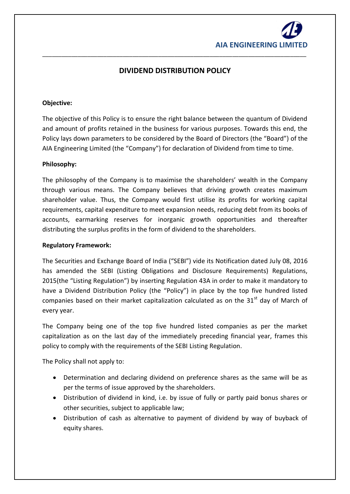

# **DIVIDEND DISTRIBUTION POLICY**

\_\_\_\_\_\_\_\_\_\_\_\_\_\_\_\_\_\_\_\_\_\_\_\_\_\_\_\_\_\_\_\_\_\_\_\_\_\_\_\_\_\_\_\_\_\_\_\_\_\_\_\_\_\_\_\_\_\_\_\_\_\_\_\_\_\_\_\_\_\_\_\_\_\_\_\_\_\_\_\_\_\_

## **Objective:**

The objective of this Policy is to ensure the right balance between the quantum of Dividend and amount of profits retained in the business for various purposes. Towards this end, the Policy lays down parameters to be considered by the Board of Directors (the "Board") of the AIA Engineering Limited (the "Company") for declaration of Dividend from time to time.

#### **Philosophy:**

The philosophy of the Company is to maximise the shareholders' wealth in the Company through various means. The Company believes that driving growth creates maximum shareholder value. Thus, the Company would first utilise its profits for working capital requirements, capital expenditure to meet expansion needs, reducing debt from its books of accounts, earmarking reserves for inorganic growth opportunities and thereafter distributing the surplus profits in the form of dividend to the shareholders.

#### **Regulatory Framework:**

The Securities and Exchange Board of India ("SEBI") vide its Notification dated July 08, 2016 has amended the SEBI (Listing Obligations and Disclosure Requirements) Regulations, 2015(the "Listing Regulation") by inserting Regulation 43A in order to make it mandatory to have a Dividend Distribution Policy (the "Policy") in place by the top five hundred listed companies based on their market capitalization calculated as on the  $31<sup>st</sup>$  day of March of every year.

The Company being one of the top five hundred listed companies as per the market capitalization as on the last day of the immediately preceding financial year, frames this policy to comply with the requirements of the SEBI Listing Regulation.

The Policy shall not apply to:

- Determination and declaring dividend on preference shares as the same will be as per the terms of issue approved by the shareholders.
- Distribution of dividend in kind, i.e. by issue of fully or partly paid bonus shares or other securities, subject to applicable law;
- Distribution of cash as alternative to payment of dividend by way of buyback of equity shares.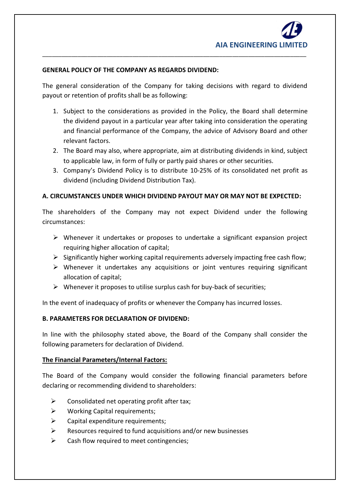## **GENERAL POLICY OF THE COMPANY AS REGARDS DIVIDEND:**

The general consideration of the Company for taking decisions with regard to dividend payout or retention of profits shall be as following:

\_\_\_\_\_\_\_\_\_\_\_\_\_\_\_\_\_\_\_\_\_\_\_\_\_\_\_\_\_\_\_\_\_\_\_\_\_\_\_\_\_\_\_\_\_\_\_\_\_\_\_\_\_\_\_\_\_\_\_\_\_\_\_\_\_\_\_\_\_\_\_\_\_\_\_\_\_\_\_\_\_\_

- 1. Subject to the considerations as provided in the Policy, the Board shall determine the dividend payout in a particular year after taking into consideration the operating and financial performance of the Company, the advice of Advisory Board and other relevant factors.
- 2. The Board may also, where appropriate, aim at distributing dividends in kind, subject to applicable law, in form of fully or partly paid shares or other securities.
- 3. Company's Dividend Policy is to distribute 10-25% of its consolidated net profit as dividend (including Dividend Distribution Tax).

# **A. CIRCUMSTANCES UNDER WHICH DIVIDEND PAYOUT MAY OR MAY NOT BE EXPECTED:**

The shareholders of the Company may not expect Dividend under the following circumstances:

- $\triangleright$  Whenever it undertakes or proposes to undertake a significant expansion project requiring higher allocation of capital;
- $\triangleright$  Significantly higher working capital requirements adversely impacting free cash flow;
- $\triangleright$  Whenever it undertakes any acquisitions or joint ventures requiring significant allocation of capital;
- $\triangleright$  Whenever it proposes to utilise surplus cash for buy-back of securities;

In the event of inadequacy of profits or whenever the Company has incurred losses.

# **B. PARAMETERS FOR DECLARATION OF DIVIDEND:**

In line with the philosophy stated above, the Board of the Company shall consider the following parameters for declaration of Dividend.

# **The Financial Parameters/Internal Factors:**

The Board of the Company would consider the following financial parameters before declaring or recommending dividend to shareholders:

- $\triangleright$  Consolidated net operating profit after tax;
- $\triangleright$  Working Capital requirements;
- $\triangleright$  Capital expenditure requirements;
- $\triangleright$  Resources required to fund acquisitions and/or new businesses
- $\triangleright$  Cash flow required to meet contingencies: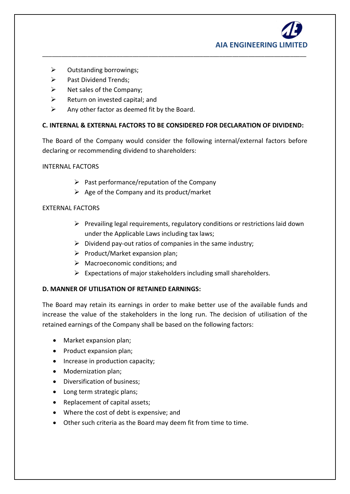

- $\triangleright$  Outstanding borrowings;
- $\triangleright$  Past Dividend Trends;
- $\triangleright$  Net sales of the Company;
- $\triangleright$  Return on invested capital; and
- $\triangleright$  Any other factor as deemed fit by the Board.

## **C. INTERNAL & EXTERNAL FACTORS TO BE CONSIDERED FOR DECLARATION OF DIVIDEND:**

\_\_\_\_\_\_\_\_\_\_\_\_\_\_\_\_\_\_\_\_\_\_\_\_\_\_\_\_\_\_\_\_\_\_\_\_\_\_\_\_\_\_\_\_\_\_\_\_\_\_\_\_\_\_\_\_\_\_\_\_\_\_\_\_\_\_\_\_\_\_\_\_\_\_\_\_\_\_\_\_\_\_

The Board of the Company would consider the following internal/external factors before declaring or recommending dividend to shareholders:

#### INTERNAL FACTORS

- $\triangleright$  Past performance/reputation of the Company
- $\triangleright$  Age of the Company and its product/market

## EXTERNAL FACTORS

- $\triangleright$  Prevailing legal requirements, regulatory conditions or restrictions laid down under the Applicable Laws including tax laws;
- $\triangleright$  Dividend pay-out ratios of companies in the same industry;
- $\triangleright$  Product/Market expansion plan;
- $\triangleright$  Macroeconomic conditions; and
- $\triangleright$  Expectations of major stakeholders including small shareholders.

# **D. MANNER OF UTILISATION OF RETAINED EARNINGS:**

The Board may retain its earnings in order to make better use of the available funds and increase the value of the stakeholders in the long run. The decision of utilisation of the retained earnings of the Company shall be based on the following factors:

- Market expansion plan;
- Product expansion plan;
- Increase in production capacity;
- Modernization plan;
- Diversification of business;
- Long term strategic plans;
- Replacement of capital assets;
- Where the cost of debt is expensive; and
- Other such criteria as the Board may deem fit from time to time.